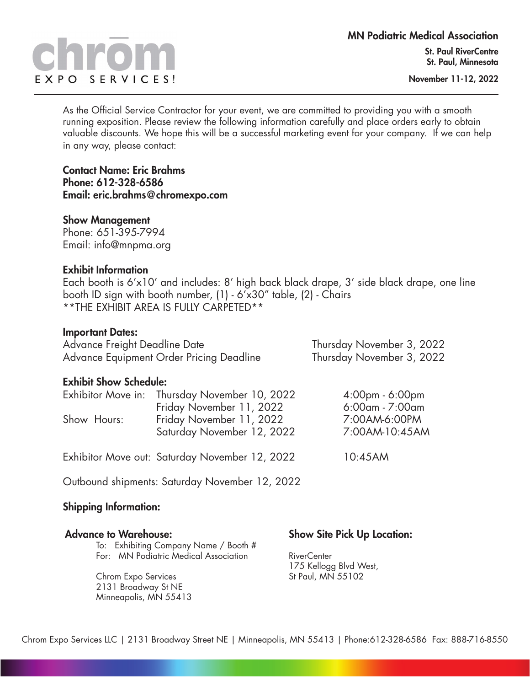# EXPO SERVICES!

November 11-12, 2022

As the Official Service Contractor for your event, we are committed to providing you with a smooth running exposition. Please review the following information carefully and place orders early to obtain valuable discounts. We hope this will be a successful marketing event for your company. If we can help in any way, please contact:

Contact Name: Eric Brahms Phone: 612-328-6586 Email: eric.brahms@chromexpo.com

#### Show Management

Phone: 651-395-7994 Email: info@mnpma.org

#### Exhibit Information

Each booth is 6'x10' and includes: 8' high back black drape, 3' side black drape, one line booth ID sign with booth number, (1) - 6'x30" table, (2) - Chairs \*\*THE EXHIBIT AREA IS FULLY CARPETED\*\*

#### Important Dates:

Advance Freight Deadline Date Thursday November 3, 2022 Advance Equipment Order Pricing Deadline Thursday November 3, 2022

|  | <b>Exhibit Show Schedule:</b> |  |
|--|-------------------------------|--|

| EAIHMII YIIVTI YUHUMUIDI |                                                                           |                                    |
|--------------------------|---------------------------------------------------------------------------|------------------------------------|
|                          | Exhibitor Move in: Thursday November 10, 2022<br>Friday November 11, 2022 | 4:00pm - 6:00pm<br>6:00am - 7:00am |
| Show Hours:              | Friday November 11, 2022<br>Saturday November 12, 2022                    | 7:00AM-6:00PM<br>7:00AM-10:45AM    |
|                          | Exhibitor Move out: Saturday November 12, 2022                            | 10:45AM                            |

Outbound shipments: Saturday November 12, 2022

#### Shipping Information:

Chrom Expo Services 2131 Broadway St NE Minneapolis, MN 55413

| Advance to Warehouse:                 | <b>Show Site Pick Up Location:</b> |
|---------------------------------------|------------------------------------|
| To: Exhibiting Company Name / Booth # |                                    |
| For: MN Podiatric Medical Association | RiverCenter                        |

RiverCenter 175 Kellogg Blvd West, St Paul, MN 55102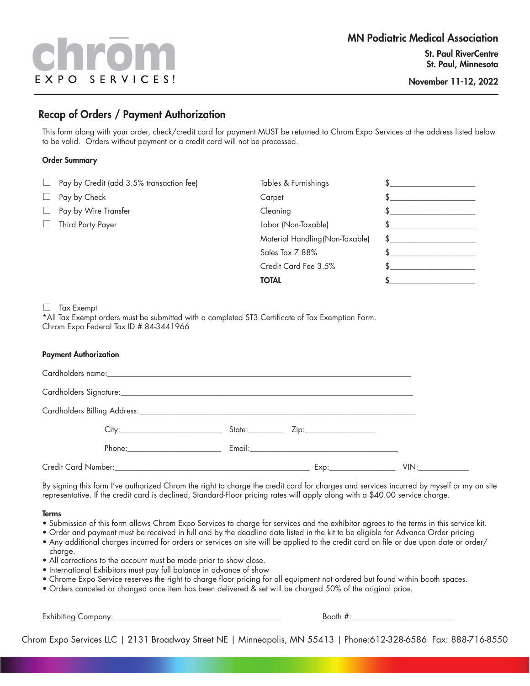# EXPO SERVICES!

#### Recap of Orders / Payment Authorization

This form along with your order, check/credit card for payment MUST be returned to Chrom Expo Services at the address listed below to be valid. Orders without payment or a credit card will not be processed.

#### Order Summary

|        | $\Box$ Pay by Credit (add 3.5% transaction fee) | Tables & Furnishings            |  |
|--------|-------------------------------------------------|---------------------------------|--|
|        | Pay by Check                                    | Carpet                          |  |
| $\Box$ | Pay by Wire Transfer                            | Cleaning                        |  |
|        | Third Party Payer                               | Labor (Non-Taxable)             |  |
|        |                                                 | Material Handling (Non-Taxable) |  |
|        |                                                 | Sales Tax 7.88%                 |  |
|        |                                                 | Credit Card Fee 3.5%            |  |
|        |                                                 | <b>TOTAL</b>                    |  |

 $\Box$  Tax Exempt

\*All Tax Exempt orders must be submitted with a completed ST3 Certificate of Tax Exemption Form. Chrom Expo Federal Tax ID # 84-3441966

#### Payment Authorization

| Phone: _________________________ |  |  |
|----------------------------------|--|--|
|                                  |  |  |

By signing this form I've authorized Chrom the right to charge the credit card for charges and services incurred by myself or my on site representative. If the credit card is declined, Standard-Floor pricing rates will apply along with a \$40.00 service charge.

#### Terms

- Submission of this form allows Chrom Expo Services to charge for services and the exhibitor agrees to the terms in this service kit.
- Order and payment must be received in full and by the deadline date listed in the kit to be eligible for Advance Order pricing
- Any additional charges incurred for orders or services on site will be applied to the credit card on file or due upon date or order/ charge.
- All corrections to the account must be made prior to show close.
- International Exhibitors must pay full balance in advance of show
- Chrome Expo Service reserves the right to charge floor pricing for all equipment not ordered but found within booth spaces.
- Orders canceled or changed once item has been delivered & set will be charged 50% of the original price.

Exhibiting Company:\_\_\_\_\_\_\_\_\_\_\_\_\_\_\_\_\_\_\_\_\_\_\_\_\_\_\_\_\_\_\_\_\_\_\_\_\_\_\_\_\_\_\_ Booth #: \_\_\_\_\_\_\_\_\_\_\_\_\_\_\_\_\_\_\_\_\_\_\_\_\_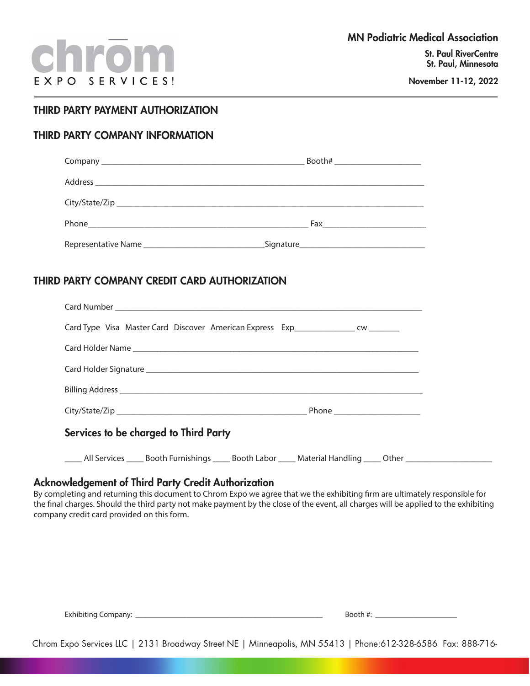#### THIRD PARTY PAYMENT AUTHORIZATION

#### THIRD PARTY COMPANY INFORMATION

|                                               | Booth# _________________________ |
|-----------------------------------------------|----------------------------------|
|                                               |                                  |
|                                               |                                  |
|                                               | Fax _________________________    |
|                                               |                                  |
|                                               |                                  |
| THIRD PARTY COMPANY CREDIT CARD AUTHORIZATION |                                  |

| Card Type Visa Master Card Discover American Express Exp_________________ cw _________ |  |
|----------------------------------------------------------------------------------------|--|
| Card Holder Name                                                                       |  |
|                                                                                        |  |
|                                                                                        |  |
|                                                                                        |  |
| Services to be charged to Third Party                                                  |  |

\_\_\_\_\_ All Services \_\_\_\_\_ Booth Furnishings \_\_\_\_\_ Booth Labor \_\_\_\_\_ Material Handling \_\_\_\_\_ Other \_\_\_\_\_\_\_\_\_

#### Acknowledgement of Third Party Credit Authorization

By completing and returning this document to Chrom Expo we agree that we the exhibiting firm are ultimately responsible for the final charges. Should the third party not make payment by the close of the event, all charges will be applied to the exhibiting company credit card provided on this form.

| <b>Exhibiting Company:</b> |  |
|----------------------------|--|

Exhibiting Company: \_\_\_\_\_\_\_\_\_\_\_\_\_\_\_\_\_\_\_\_\_\_\_\_\_\_\_\_\_\_\_\_\_\_\_\_\_\_\_\_\_\_\_\_\_\_\_\_ Booth #: \_\_\_\_\_\_\_\_\_\_\_\_\_\_\_\_\_\_\_\_\_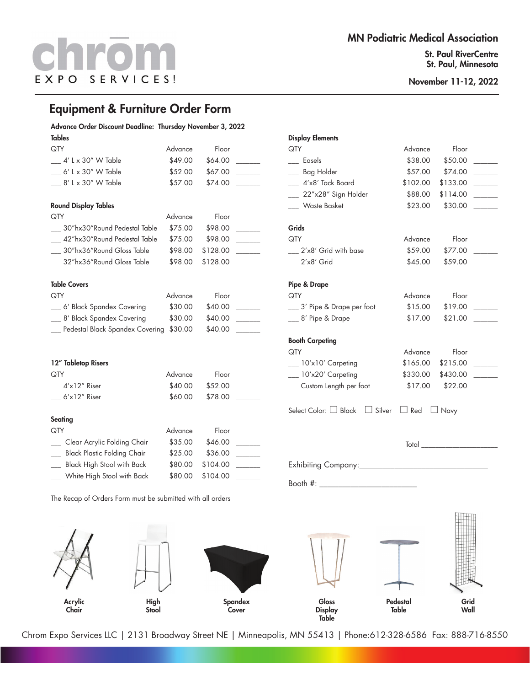St. Paul RiverCentre St. Paul, Minnesota

> Grid Wall

Pedestal **Table** 

November 11-12, 2022

#### Equipment & Furniture Order Form

#### Advance Order Discount Deadline: Thursday November 3, 2022

| Tables                                       |         |          |  |
|----------------------------------------------|---------|----------|--|
| QTY                                          | Advance | Floor    |  |
| 4′ L x 30″ W Table                           | \$49.00 | \$64.00  |  |
| 6' L x 30" W Table                           | \$52.00 | \$67.00  |  |
| $\frac{8}{1}$ k $\frac{30}{1}$ W Table       | \$57.00 | \$74.00  |  |
| <b>Round Display Tables</b>                  |         |          |  |
| QTY                                          | Advance | Floor    |  |
| 30″hx30″Round Pedestal Table                 | \$75.00 | \$98.00  |  |
|                                              |         |          |  |
| 42"hx30"Round Pedestal Table                 | \$75.00 | \$98.00  |  |
| 30"hx36"Round Gloss Table                    | \$98.00 | \$128.00 |  |
| 32″hx36″Round Gloss Table                    | \$98.00 | \$128.00 |  |
| <b>Table Covers</b>                          |         |          |  |
| QTY                                          |         |          |  |
|                                              | Advance | Floor    |  |
| 6′ Black Spandex Covering                    | \$30.00 | \$40.00  |  |
| __ 8' Black Spandex Covering                 | \$30.00 | \$40.00  |  |
| __ Pedestal Black Spandex Covering           | \$30.00 | \$40.00  |  |
|                                              |         |          |  |
| 12" Tabletop Risers                          |         |          |  |
| QTY                                          | Advance | Floor    |  |
| $-4'$ x12" Riser                             | \$40.00 | \$52.00  |  |
| $-6x12''$ Riser                              | \$60.00 | \$78.00  |  |
|                                              |         |          |  |
| <b>Seating</b>                               |         |          |  |
| QTY                                          | Advance | Floor    |  |
| Clear Acrylic Folding Chair                  | \$35.00 | \$46.00  |  |
| <b>Black Plastic Folding Chair</b><br>$\sim$ | \$25.00 | \$36.00  |  |
| Black High Stool with Back                   | \$80.00 | \$104.00 |  |
| White High Stool with Back                   | \$80.00 | \$104.00 |  |

The Recap of Orders Form must be submitted with all orders

High Stool

Acrylic Chair

### Display Elements QTY **Advance** Floor \_\_\_ Easels \$38.00 \$50.00 \_\_\_\_\_\_\_ \_\_\_ Bag Holder \$57.00 \$74.00 \_\_\_\_\_\_\_ \_\_\_ 4'x8' Tack Board \$102.00 \$133.00 \_\_\_\_\_\_\_ \_ 22"x28" Sign Holder \$88.00 \$114.00 \_\_\_ Waste Basket \$23.00 \$30.00 \_\_\_\_\_\_\_ Grids QTY Advance Floor \_\_\_ 2'x8' Grid with base \$59.00 \$77.00 \_\_\_\_\_\_\_ \_\_\_ 2'x8' Grid \$45.00 \$59.00 \_\_\_\_\_\_\_ Pipe & Drape QTY **Advance** Floor 3' Pipe & Drape per foot \$15.00 \$19.00 \_\_ 8' Pipe & Drape  $$17.00$  \$21.00 \_ Booth Carpeting QTY Advance Floor  $\frac{10' \times 10'}{2}$  Carpeting  $\frac{10}{2}$   $\frac{10}{2}$   $\frac{10}{2}$  Carpeting \_\_\_ 10'x20' Carpeting  $$330.00$  \$430.00 \_\_\_ Custom Length per foot \$17.00 \$22.00 \_\_\_\_\_\_\_ Select Color:  $\Box$  Black  $\Box$  Silver  $\Box$  Red  $\Box$  Navy Total \_\_\_\_\_\_\_\_\_\_\_\_\_\_\_\_\_\_\_\_\_\_ Exhibiting Company:\_\_\_\_\_\_\_\_\_\_\_\_\_\_\_\_\_\_\_\_\_\_\_\_\_\_\_\_\_\_\_\_\_ Booth  $\#$ :  $\_$

Chrom Expo Services LLC | 2131 Broadway Street NE | Minneapolis, MN 55413 | Phone:612-328-6586 Fax: 888-716-8550

Gloss **Display Table** 

Spandex Cover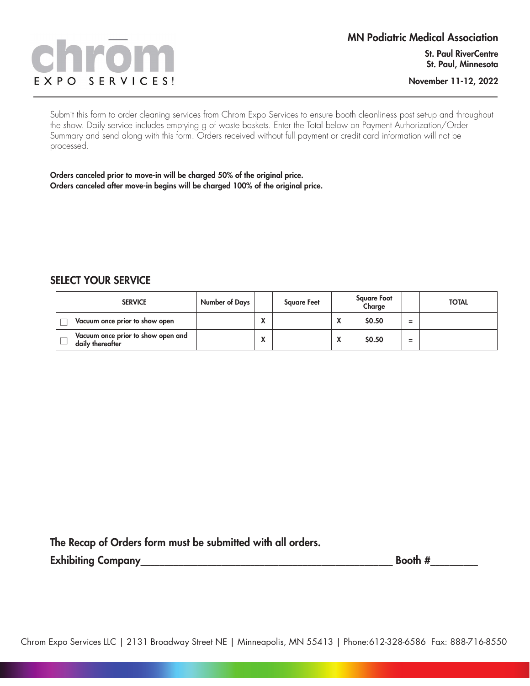# SERVICES! EXPO

Submit this form to order cleaning services from Chrom Expo Services to ensure booth cleanliness post set-up and throughout the show. Daily service includes emptying g of waste baskets. Enter the Total below on Payment Authorization/Order Summary and send along with this form. Orders received without full payment or credit card information will not be processed.

Orders canceled prior to move-in will be charged 50% of the original price. Orders canceled after move-in begins will be charged 100% of the original price.

#### SELECT YOUR SERVICE

| <b>SERVICE</b>                                         | Number of Days |           | <b>Square Feet</b> |                                    | <b>Square Foot</b><br>Charge |        | <b>TOTAL</b> |
|--------------------------------------------------------|----------------|-----------|--------------------|------------------------------------|------------------------------|--------|--------------|
| Vacuum once prior to show open                         |                | $\lambda$ |                    | $\mathbf{v}$<br>$\mathbf{v}$       | \$0.50                       | -<br>- |              |
| Vacuum once prior to show open and<br>daily thereafter |                | Λ         |                    | $\mathbf{v}$<br>$\mathbf{\Lambda}$ | \$0.50                       | -<br>- |              |

The Recap of Orders form must be submitted with all orders.

Exhibiting Company\_\_\_\_\_\_\_\_\_\_\_\_\_\_\_\_\_\_\_\_\_\_\_\_\_\_\_\_\_\_\_\_\_\_\_\_\_\_\_\_\_\_\_\_\_\_\_\_\_\_\_\_\_ Booth #\_\_\_\_\_\_\_\_\_\_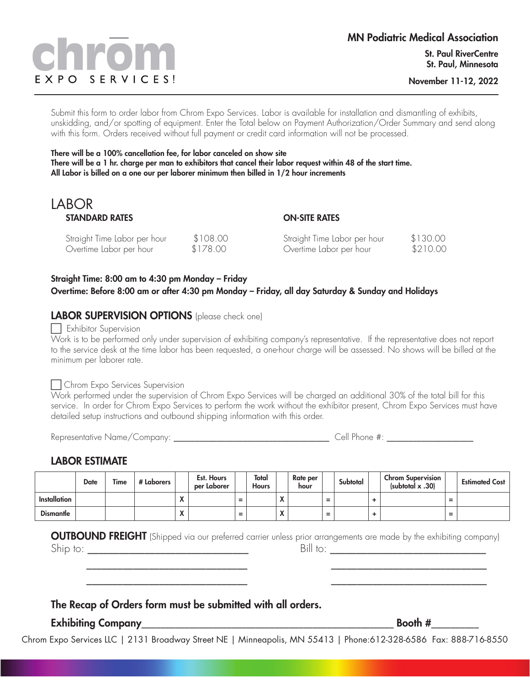# EXPO SERVICES!

November 11-12, 2022

Submit this form to order labor from Chrom Expo Services. Labor is available for installation and dismantling of exhibits, unskidding, and/or spotting of equipment. Enter the Total below on Payment Authorization/Order Summary and send along with this form. Orders received without full payment or credit card information will not be processed.

There will be a 100% cancellation fee, for labor canceled on show site There will be a 1 hr. charge per man to exhibitors that cancel their labor request within 48 of the start time. All Labor is billed on a one our per laborer minimum then billed in 1/2 hour increments

#### LABOR STANDARD RATES

#### ON-SITE RATES

| Straight Time Labor per hour | \$108.00 | Straight Time Labor per hour | \$130.00 |
|------------------------------|----------|------------------------------|----------|
| Overtime Labor per hour      | \$178.00 | Overtime Labor per hour      | \$210.00 |

#### Straight Time: 8:00 am to 4:30 pm Monday – Friday Overtime: Before 8:00 am or after 4:30 pm Monday – Friday, all day Saturday & Sunday and Holidays

#### LABOR SUPERVISION OPTIONS (please check one)

#### $\Box$  Exhibitor Supervision

Work is to be performed only under supervision of exhibiting company's representative. If the representative does not report to the service desk at the time labor has been requested, a one-hour charge will be assessed. No shows will be billed at the minimum per laborer rate.

#### Chrom Expo Services Supervision

Work performed under the supervision of Chrom Expo Services will be charged an additional 30% of the total bill for this service. In order for Chrom Expo Services to perform the work without the exhibitor present, Chrom Expo Services must have detailed setup instructions and outbound shipping information with this order.

Representative Name/Company: which is a set of the set of the set of the set of the set of the set of the set o

#### LABOR ESTIMATE

|                     | <b>Date</b> | Time | # Laborers |                                | Est. Hours<br>per Laborer |     | Total<br><b>Hours</b> |                  | Rate per<br>hour |                               | Subtotal | <b>Chrom Supervision</b><br>(subtotal $x$ .30) |                               | <b>Estimated Cost</b> |
|---------------------|-------------|------|------------|--------------------------------|---------------------------|-----|-----------------------|------------------|------------------|-------------------------------|----------|------------------------------------------------|-------------------------------|-----------------------|
| <b>Installation</b> |             |      |            | $\mathbf{v}$                   |                           | $=$ |                       | ъ.<br>$\sqrt{ }$ |                  | $\overline{\phantom{0}}$<br>- |          |                                                | $\overline{\phantom{0}}$<br>- |                       |
| <b>Dismantle</b>    |             |      |            | $\blacksquare$<br>$\mathbf{v}$ |                           | $=$ |                       | Λ                |                  | $\overline{\phantom{0}}$<br>- |          |                                                | $\overline{\phantom{0}}$<br>- |                       |

**OUTBOUND FREIGHT** (Shipped via our preferred carrier unless prior arrangements are made by the exhibiting company)

 \_\_\_\_\_\_\_\_\_\_\_\_\_\_\_\_\_\_\_\_\_\_\_\_\_\_\_\_\_\_\_ \_\_\_\_\_\_\_\_\_\_\_\_\_\_\_\_\_\_\_\_\_\_\_\_\_\_\_\_\_\_ \_\_\_\_\_\_\_\_\_\_\_\_\_\_\_\_\_\_\_\_\_\_\_\_\_\_\_\_\_\_\_ \_\_\_\_\_\_\_\_\_\_\_\_\_\_\_\_\_\_\_\_\_\_\_\_\_\_\_\_\_\_

Ship to: \_\_\_\_\_\_\_\_\_\_\_\_\_\_\_\_\_\_\_\_\_\_\_\_\_\_\_\_\_\_\_ Bill to: \_\_\_\_\_\_\_\_\_\_\_\_\_\_\_\_\_\_\_\_\_\_\_\_\_\_\_\_\_\_

#### The Recap of Orders form must be submitted with all orders.

Exhibiting Company\_\_\_\_\_\_\_\_\_\_\_\_\_\_\_\_\_\_\_\_\_\_\_\_\_\_\_\_\_\_\_\_\_\_\_\_\_\_\_\_\_\_\_\_\_\_\_\_\_\_\_\_\_ Booth #\_\_\_\_\_\_\_\_\_\_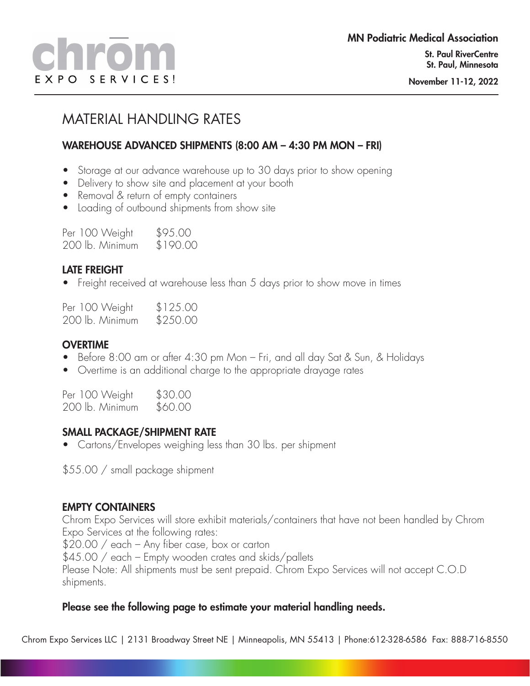# MATERIAL HANDLING RATES

#### WAREHOUSE ADVANCED SHIPMENTS (8:00 AM – 4:30 PM MON – FRI)

- Storage at our advance warehouse up to 30 days prior to show opening
- Delivery to show site and placement at your booth
- Removal & return of empty containers
- Loading of outbound shipments from show site

| Per 100 Weight  | \$95.00  |
|-----------------|----------|
| 200 lb. Minimum | \$190.00 |

#### LATE FREIGHT

• Freight received at warehouse less than 5 days prior to show move in times

Per 100 Weight \$125.00 200 lb. Minimum \$250.00

#### **OVERTIME**

- Before 8:00 am or after 4:30 pm Mon Fri, and all day Sat & Sun, & Holidays
- Overtime is an additional charge to the appropriate drayage rates

| Per 100 Weight  | \$30.00 |
|-----------------|---------|
| 200 lb. Minimum | \$60.00 |

#### SMALL PACKAGE/SHIPMENT RATE

• Cartons/Envelopes weighing less than 30 lbs. per shipment

\$55.00 / small package shipment

#### EMPTY CONTAINERS

Chrom Expo Services will store exhibit materials/containers that have not been handled by Chrom Expo Services at the following rates:

\$20.00 / each – Any fiber case, box or carton

\$45.00 / each – Empty wooden crates and skids/pallets Please Note: All shipments must be sent prepaid. Chrom Expo Services will not accept C.O.D shipments.

#### Please see the following page to estimate your material handling needs.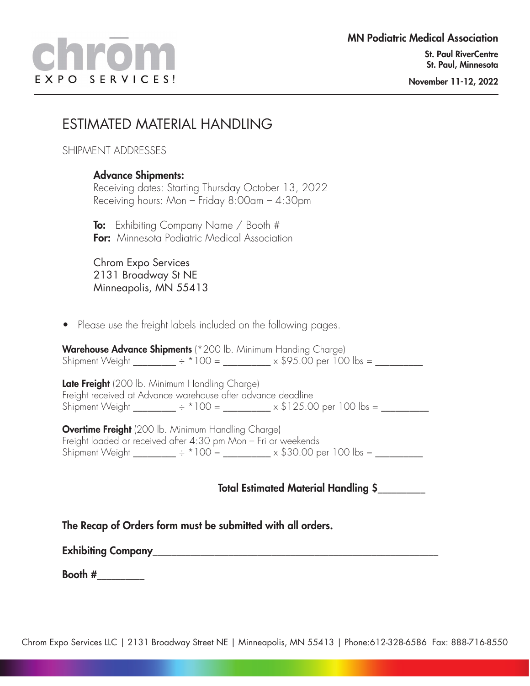### ESTIMATED MATERIAL HANDLING

SHIPMENT ADDRESSES

#### Advance Shipments:

Receiving dates: Starting Thursday October 13, 2022 Receiving hours: Mon – Friday 8:00am – 4:30pm

**To:** Exhibiting Company Name / Booth # **For:** Minnesota Podiatric Medical Association

Chrom Expo Services 2131 Broadway St NE Minneapolis, MN 55413

• Please use the freight labels included on the following pages.

Warehouse Advance Shipments (\* 200 lb. Minimum Handing Charge) Shipment Weight \_\_\_\_\_\_\_\_\_ ÷ \* 100 = \_\_\_\_\_\_\_\_\_\_ x \$95.00 per 100 lbs = \_\_\_\_\_\_\_\_\_\_

Late Freight (200 lb. Minimum Handling Charge) Freight received at Advance warehouse after advance deadline Shipment Weight \_\_\_\_\_\_\_ ÷ \*100 = \_\_\_\_\_\_\_\_ x \$125.00 per 100 lbs = \_\_\_\_\_\_\_\_\_

**Overtime Freight** (200 lb. Minimum Handling Charge) Freight loaded or received after 4:30 pm Mon – Fri or weekends Shipment Weight \_\_\_\_\_\_\_ ÷ \* 100 = \_\_\_\_\_\_\_\_ x \$30.00 per 100 lbs = \_\_\_\_\_\_\_\_

Total Estimated Material Handling \$\_\_\_\_\_\_\_\_\_\_

The Recap of Orders form must be submitted with all orders.

Exhibiting Company\_\_\_\_\_\_\_\_\_\_\_\_\_\_\_\_\_\_\_\_\_\_\_\_\_\_\_\_\_\_\_\_\_\_\_\_\_\_\_\_\_\_\_\_\_\_\_\_\_\_\_\_\_\_\_\_\_\_\_\_

Booth  $#$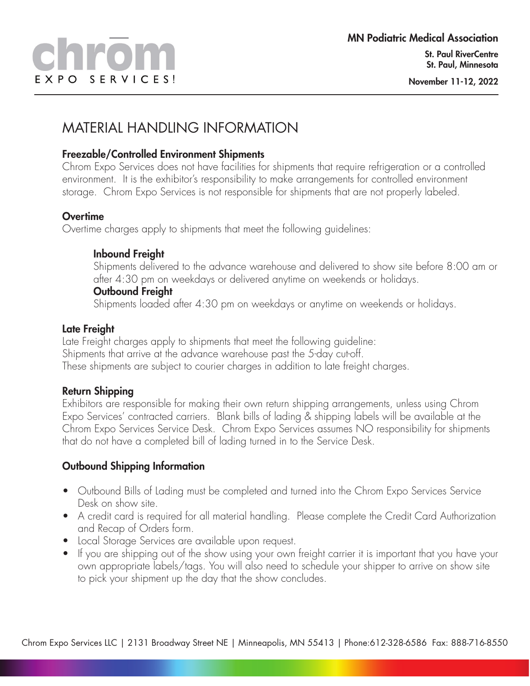## MATERIAL HANDLING INFORMATION

#### Freezable/Controlled Environment Shipments

Chrom Expo Services does not have facilities for shipments that require refrigeration or a controlled environment. It is the exhibitor's responsibility to make arrangements for controlled environment storage. Chrom Expo Services is not responsible for shipments that are not properly labeled.

#### **Overtime**

Overtime charges apply to shipments that meet the following guidelines:

#### Inbound Freight

Shipments delivered to the advance warehouse and delivered to show site before 8:00 am or after 4:30 pm on weekdays or delivered anytime on weekends or holidays.

#### Outbound Freight

Shipments loaded after 4:30 pm on weekdays or anytime on weekends or holidays.

#### Late Freight

Late Freight charges apply to shipments that meet the following guideline: Shipments that arrive at the advance warehouse past the 5-day cut-off. These shipments are subject to courier charges in addition to late freight charges.

#### Return Shipping

Exhibitors are responsible for making their own return shipping arrangements, unless using Chrom Expo Services' contracted carriers. Blank bills of lading & shipping labels will be available at the Chrom Expo Services Service Desk. Chrom Expo Services assumes NO responsibility for shipments that do not have a completed bill of lading turned in to the Service Desk.

#### Outbound Shipping Information

- Outbound Bills of Lading must be completed and turned into the Chrom Expo Services Service Desk on show site.
- A credit card is required for all material handling. Please complete the Credit Card Authorization and Recap of Orders form.
- Local Storage Services are available upon request.
- If you are shipping out of the show using your own freight carrier it is important that you have your own appropriate labels/tags. You will also need to schedule your shipper to arrive on show site to pick your shipment up the day that the show concludes.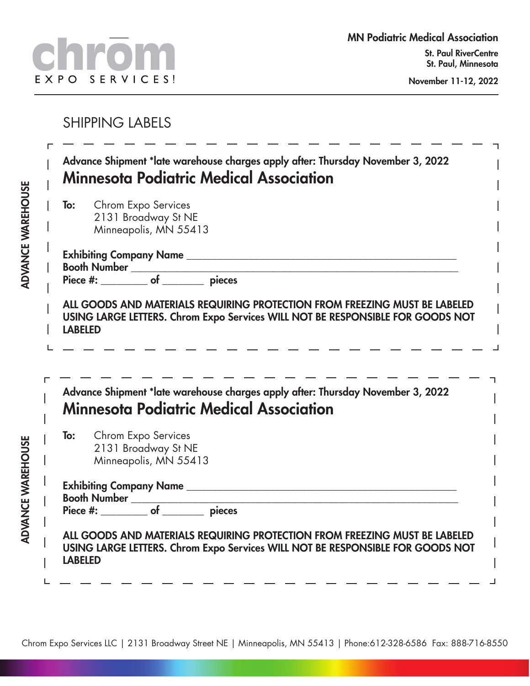## SHIPPING LABELS

|                | To: Chrom Expo Services<br>2131 Broadway St NE<br>Minneapolis, MN 55413                                                                                      |
|----------------|--------------------------------------------------------------------------------------------------------------------------------------------------------------|
|                | Booth Number <u>contains and the pieces</u><br>Piece #: ___________ of _________ pieces                                                                      |
| <b>LABELED</b> | ALL GOODS AND MATERIALS REQUIRING PROTECTION FROM FREEZING MUST BE LABELED<br>USING LARGE LETTERS. Chrom Expo Services WILL NOT BE RESPONSIBLE FOR GOODS NOT |
|                | Advance Shipment *late warehouse charges apply after: Thursday November 3, 2022                                                                              |
| To:            | Minnesota Podiatric Medical Association<br>Chrom Expo Services<br>2131 Broadway St NE<br>Minneapolis, MN 55413                                               |
|                | Booth Number<br>Piece #: ___________ of ________ pieces                                                                                                      |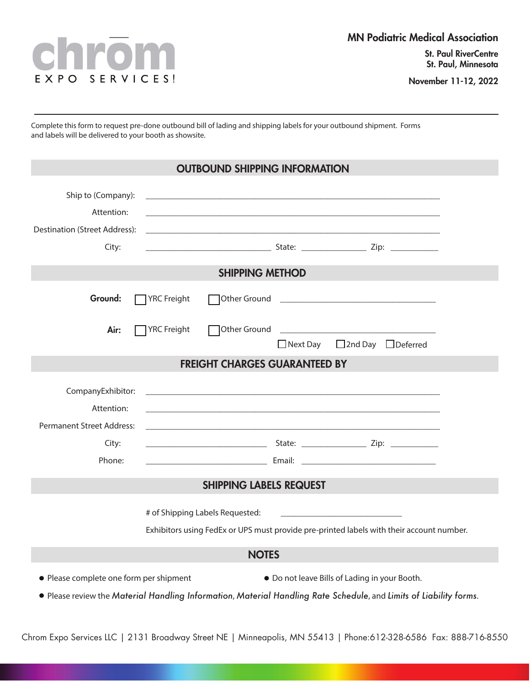

November 11-12, 2022

Complete this form to request pre-done outbound bill of lading and shipping labels for your outbound shipment. Forms and labels will be delivered to your booth as showsite.

| <b>OUTBOUND SHIPPING INFORMATION</b>                                                                                                                                                                           |                                      |                 |                    |  |  |  |  |  |
|----------------------------------------------------------------------------------------------------------------------------------------------------------------------------------------------------------------|--------------------------------------|-----------------|--------------------|--|--|--|--|--|
| Ship to (Company):<br>Attention:<br>Destination (Street Address):<br>City:                                                                                                                                     |                                      |                 |                    |  |  |  |  |  |
| <b>SHIPPING METHOD</b>                                                                                                                                                                                         |                                      |                 |                    |  |  |  |  |  |
| Ground:                                                                                                                                                                                                        | $\Box$ YRC Freight                   |                 |                    |  |  |  |  |  |
| Air:                                                                                                                                                                                                           | □ YRC Freight                        | $\Box$ Next Day | □2nd Day □Deferred |  |  |  |  |  |
|                                                                                                                                                                                                                | <b>FREIGHT CHARGES GUARANTEED BY</b> |                 |                    |  |  |  |  |  |
| CompanyExhibitor:<br>Attention:<br>Permanent Street Address:<br>City:<br>Phone:                                                                                                                                |                                      |                 |                    |  |  |  |  |  |
| <b>SHIPPING LABELS REQUEST</b>                                                                                                                                                                                 |                                      |                 |                    |  |  |  |  |  |
| Exhibitors using FedEx or UPS must provide pre-printed labels with their account number.<br><b>NOTES</b>                                                                                                       |                                      |                 |                    |  |  |  |  |  |
| • Please complete one form per shipment<br>. Do not leave Bills of Lading in your Booth.<br>. Please review the Material Handling Information, Material Handling Rate Schedule, and Limits of Liability forms. |                                      |                 |                    |  |  |  |  |  |